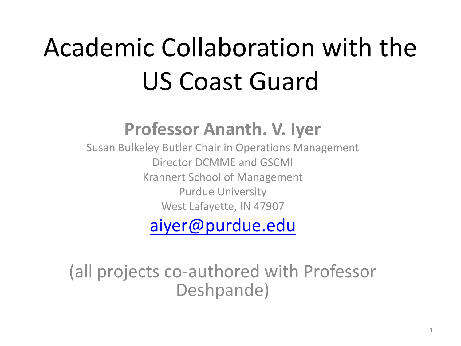# Academic Collaboration with the US Coast Guard

#### **Professor Ananth. V. Iyer**

Susan Bulkeley Butler Chair in Operations Management Director DCMME and GSCMI Krannert School of Management Purdue University West Lafayette, IN 47907

#### [aiyer@purdue.edu](mailto:aiyer@purdue.edu)

(all projects co-authored with Professor Deshpande)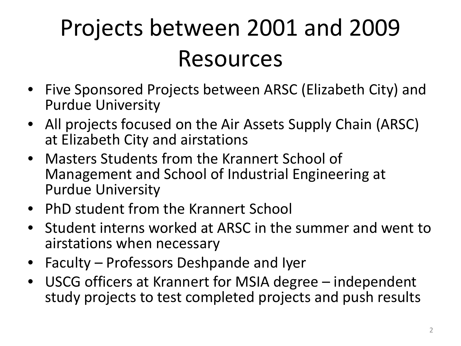#### Projects between 2001 and 2009 Resources

- Five Sponsored Projects between ARSC (Elizabeth City) and Purdue University
- All projects focused on the Air Assets Supply Chain (ARSC) at Elizabeth City and airstations
- Masters Students from the Krannert School of Management and School of Industrial Engineering at Purdue University
- PhD student from the Krannert School
- Student interns worked at ARSC in the summer and went to airstations when necessary
- Faculty Professors Deshpande and Iyer
- USCG officers at Krannert for MSIA degree independent study projects to test completed projects and push results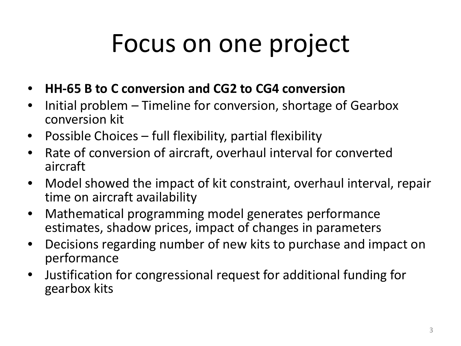### Focus on one project

- **HH-65 B to C conversion and CG2 to CG4 conversion**
- Initial problem Timeline for conversion, shortage of Gearbox conversion kit
- Possible Choices full flexibility, partial flexibility
- Rate of conversion of aircraft, overhaul interval for converted aircraft
- Model showed the impact of kit constraint, overhaul interval, repair time on aircraft availability
- Mathematical programming model generates performance estimates, shadow prices, impact of changes in parameters
- Decisions regarding number of new kits to purchase and impact on performance
- Justification for congressional request for additional funding for gearbox kits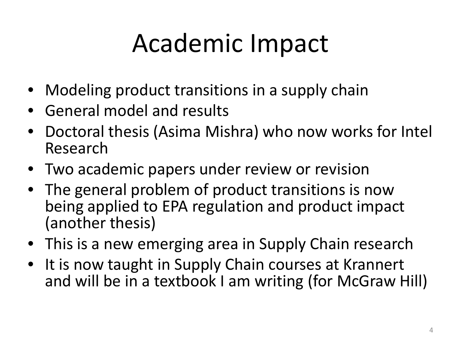## Academic Impact

- Modeling product transitions in a supply chain
- General model and results
- Doctoral thesis (Asima Mishra) who now works for Intel Research
- Two academic papers under review or revision
- The general problem of product transitions is now being applied to EPA regulation and product impact (another thesis)
- This is a new emerging area in Supply Chain research
- It is now taught in Supply Chain courses at Krannert and will be in a textbook I am writing (for McGraw Hill)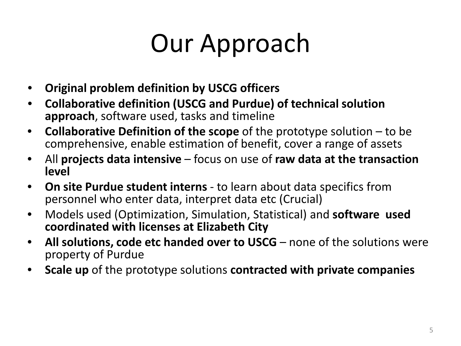## Our Approach

- **Original problem definition by USCG officers**
- **Collaborative definition (USCG and Purdue) of technical solution approach**, software used, tasks and timeline
- **Collaborative Definition of the scope** of the prototype solution to be comprehensive, enable estimation of benefit, cover a range of assets
- All **projects data intensive**  focus on use of **raw data at the transaction level**
- **On site Purdue student interns**  to learn about data specifics from personnel who enter data, interpret data etc (Crucial)
- Models used (Optimization, Simulation, Statistical) and **software used coordinated with licenses at Elizabeth City**
- **All solutions, code etc handed over to USCG**  none of the solutions were property of Purdue
- **Scale up** of the prototype solutions **contracted with private companies**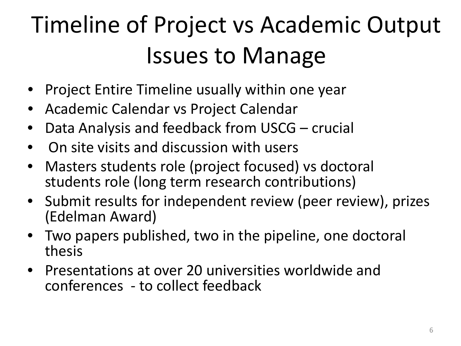### Timeline of Project vs Academic Output Issues to Manage

- Project Entire Timeline usually within one year
- Academic Calendar vs Project Calendar
- Data Analysis and feedback from USCG crucial
- On site visits and discussion with users
- Masters students role (project focused) vs doctoral students role (long term research contributions)
- Submit results for independent review (peer review), prizes (Edelman Award)
- Two papers published, two in the pipeline, one doctoral thesis
- Presentations at over 20 universities worldwide and conferences - to collect feedback